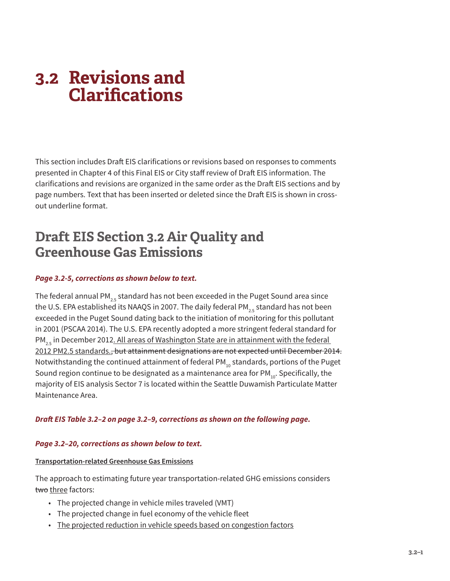This section includes Draft EIS clarifications or revisions based on responses to comments presented in Chapter 4 of this Final EIS or City staff review of Draft EIS information. The clarifications and revisions are organized in the same order as the Draft EIS sections and by page numbers. Text that has been inserted or deleted since the Draft EIS is shown in crossout underline format.

# **Draft EIS Section 3.2 Air Quality and Greenhouse Gas Emissions**

# *Page 3.2-5, corrections as shown below to text.*

The federal annual PM<sub>2.5</sub> standard has not been exceeded in the Puget Sound area since the U.S. EPA established its NAAQS in 2007. The daily federal PM<sub>25</sub> standard has not been exceeded in the Puget Sound dating back to the initiation of monitoring for this pollutant in 2001 (PSCAA 2014). The U.S. EPA recently adopted a more stringent federal standard for  $PM_{2.5}$  in December 2012. All areas of Washington State are in attainment with the federal 2012 PM2.5 standards., but attainment designations are not expected until December 2014. Notwithstanding the continued attainment of federal PM $_{10}$  standards, portions of the Puget Sound region continue to be designated as a maintenance area for  $PM_{10}$ . Specifically, the majority of EIS analysis Sector 7 is located within the Seattle Duwamish Particulate Matter Maintenance Area.

# *Draft EIS Table 3.2–2 on page 3.2–9, corrections as shown on the following page.*

## *Page 3.2–20, corrections as shown below to text.*

#### **Transportation-related Greenhouse Gas Emissions**

The approach to estimating future year transportation-related GHG emissions considers two three factors:

- The projected change in vehicle miles traveled (VMT)
- The projected change in fuel economy of the vehicle fleet
- The projected reduction in vehicle speeds based on congestion factors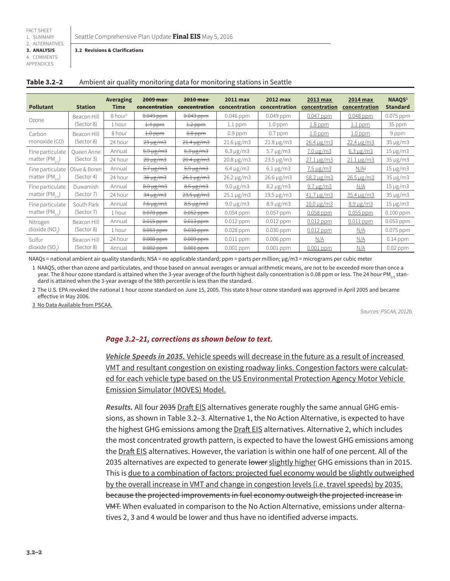Seattle Comprehensive Plan Update **Final EIS** May 5, 2016

**3.2 Revisions & Clarifications**

| 3. ANALYSIS |
|-------------|
| 4. COMMENTS |
| APPENDICES  |

| LIVUIVLJ |  |  |  |
|----------|--|--|--|
|          |  |  |  |
|          |  |  |  |
|          |  |  |  |

| <b>Pollutant</b>                       | <b>Station</b> | <b>Averaging</b><br>Time | $2009$ max<br>concentration | 2010 max<br>concentration | <b>2011 max</b><br>concentration | <b>2012 max</b><br>concentration | <b>2013 max</b><br>concentration | <b>2014 max</b><br>concentration | NAAQS <sup>1</sup><br><b>Standard</b> |
|----------------------------------------|----------------|--------------------------|-----------------------------|---------------------------|----------------------------------|----------------------------------|----------------------------------|----------------------------------|---------------------------------------|
| Ozone                                  | Beacon Hill    | $8$ hour <sup>2</sup>    | $0.049$ ppm                 | $0.043$ ppm               | 0.046 ppm                        | 0.049 ppm                        | 0.047 ppm                        | $0.048$ ppm                      | 0.075 ppm                             |
|                                        | (Sector 8)     | 1 hour                   | $1.4$ ppm                   | $1.2$ ppm                 | $1.1$ ppm                        | $1.0$ ppm                        | $1.8$ ppm                        | $1.1$ ppm                        | 35 ppm                                |
| Carbon<br>monoxide (CO)<br>(Sector 8)  | Beacon Hill    | 8 hour                   | $1.0$ ppm                   | $0.8$ ppm                 | $0.9$ ppm                        | $0.7$ ppm                        | $1.0$ ppm                        | $1.0$ ppm                        | 9 ppm                                 |
|                                        |                | 24 hour                  | $23 \mu g/m3$               | $21.4 \,\mu g/m3$         | $21.6 \,\mu g/m3$                | $21.8 \,\mu g/m3$                | $26.4 \mu g/m3$                  | $22.4 \,\mu g/m3$                | $35 \mu g/m3$                         |
| Fine particulate<br>matter $(PM, E)$   | Queen Anne     | Annual                   | $5.9 \mu g/m3$              | $6.3 \mu g/m3$            | $6.3 \mu g/m3$                   | $5.7 \mu g/m3$                   | $7.0 \,\mu g/m3$                 | $6.3 \mu g/m3$                   | $15 \mu g/m3$                         |
|                                        | (Sector 3)     | 24 hour                  | 20 µg/m3                    | $20.4 \,\mathrm{µg/m3}$   | $20.8 \,\mu g/m3$                | $23.5 \,\mu g/m3$                | $27.1 \,\mu g/m3$                | $21.1 \,\mu g/m3$                | $35 \mu g/m3$                         |
| Fine particulate<br>matter $(PM_{2n})$ | Olive & Boren  | Annual                   | $5.7 \mu g/m3$              | $5.9 \mu g/m3$            | $6.4 \mu g/m3$                   | $6.1 \,\mu g/m3$                 | $7.5 \,\mu g/m3$                 | N/A <sup>3</sup>                 | $15 \mu g/m3$                         |
|                                        | (Sector 4)     | 24 hour                  | 38 µg/m3                    | $26.1 \,\mu g/m3$         | 26.2 µg/m3                       | 26.6 µg/m3                       | $58.2 \,\mu g/m3$                | $26.5 \,\mu g/m3$                | $35 \mu g/m3$                         |
| Fine particulate<br>matter $(PM, E)$   | Duwamish       | Annual                   | $8.0 \,\mu g/m3$            | $8.5 \,\mu g/m3$          | $9.0 \mu g/m3$                   | $8.2 \,\mu g/m3$                 | $9.7 \,\mu g/m3$                 | N/A                              | $15 \mu g/m3$                         |
|                                        | (Sector 7)     | 24 hour                  | $34 \mu g/m3$               | $23.5 \,\mu g/m3$         | $25.1 \,\mu g/m3$                | $19.5 \,\mu g/m3$                | $41.7 \,\mu g/m3$                | $35.4 \,\mu g/m3$                | $35 \mu g/m3$                         |
| Fine particulate<br>matter $(PM_{2R})$ | South Park     | Annual                   | $7.6 \mu g/m3$              | $8.5 \mu g/m3$            | $9.0 \mu g/m3$                   | $8.9 \mu g/m3$                   | $10.0 \,\mu g/m3$                | $8.9 \,\mu g/m3$                 | $15 \mu g/m3$                         |
|                                        | (Sector 7)     | 1 hour                   | $0.070$ ppm                 | $0.052$ ppm               | 0.054 ppm                        | 0.057 ppm                        | 0.058 ppm                        | $0.055$ ppm                      | $0.100$ ppm                           |
| Nitrogen<br>dioxide (NO <sub>2</sub> ) | Beacon Hill    | Annual                   | $0.015$ ppm                 | $0.013$ ppm               | $0.012$ ppm                      | $0.012$ ppm                      | $0.012$ ppm                      | $0.011$ ppm                      | 0.053 ppm                             |
|                                        | (Sector 8)     | 1 hour                   | $0.053$ ppm                 | $0.030$ ppm               | 0.028 ppm                        | 0.030 ppm                        | $0.012$ ppm                      | <u>N/A</u>                       | 0.075 ppm                             |
| Sulfur<br>dioxide (SO <sub>2</sub> )   | Beacon Hill    | 24 hour                  | $0.008$ ppm                 | $0.009$ ppm               | $0.011$ ppm                      | 0.006 ppm                        | N/A                              | N/A                              | $0.14$ ppm                            |
|                                        | (Sector 8)     | Annual                   | $0.002$ ppm                 | $0.001$ ppm               | $0.001$ ppm                      | $0.001$ ppm                      | $0.001$ ppm                      | N/A                              | $0.02$ ppm                            |

### **Table 3.2–2** Ambient air quality monitoring data for monitoring stations in Seattle

NAAQs = national ambient air quality standards; NSA = no applicable standard; ppm = parts per million; µg/m3 = micrograms per cubic meter

1 NAAQS, other than ozone and particulates, and those based on annual averages or annual arithmetic means, are not to be exceeded more than once a year. The 8 hour ozone standard is attained when the 3-year average of the fourth highest daily concentration is 0.08 ppm or less. The 24 hour PM<sub>2</sub> standard is attained when the 3-year average of the 98th percentile is less than the standard.

2 The U.S. EPA revoked the national 1 hour ozone standard on June 15, 2005. This state 8 hour ozone standard was approved in April 2005 and became effective in May 2006.

3 No Data Available from PSCAA.

*Sources: PSCAA, 2012b.*

## *Page 3.2–21, corrections as shown below to text.*

*Vehicle Speeds in 2035.* Vehicle speeds will decrease in the future as a result of increased VMT and resultant congestion on existing roadway links. Congestion factors were calculated for each vehicle type based on the US Environmental Protection Agency Motor Vehicle Emission Simulator (MOVES) Model.

*Results.* All four 2035 Draft EIS alternatives generate roughly the same annual GHG emissions, as shown in Table 3.2–3. Alternative 1, the No Action Alternative, is expected to have the highest GHG emissions among the Draft EIS alternatives. Alternative 2, which includes the most concentrated growth pattern, is expected to have the lowest GHG emissions among the Draft EIS alternatives. However, the variation is within one half of one percent. All of the 2035 alternatives are expected to generate lower slightly higher GHG emissions than in 2015. This is due to a combination of factors: projected fuel economy would be slightly outweighed by the overall increase in VMT and change in congestion levels (i.e. travel speeds) by 2035. because the projected improvements in fuel economy outweigh the projected increase in VMT. When evaluated in comparison to the No Action Alternative, emissions under alternatives 2, 3 and 4 would be lower and thus have no identified adverse impacts.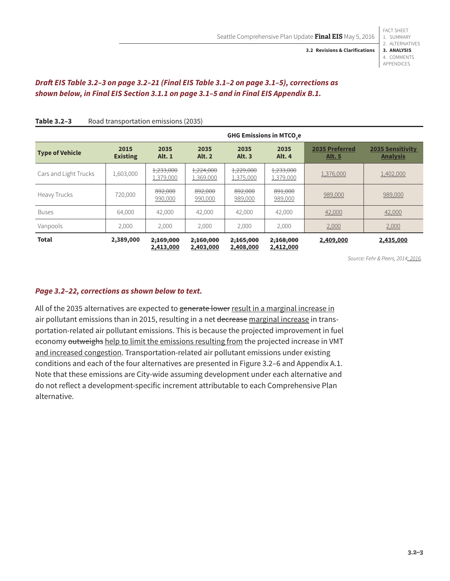FACT SHEET

# *Draft EIS Table 3.2–3 on page 3.2–21 (Final EIS Table 3.1–2 on page 3.1–5), corrections as shown below, in Final EIS Section 3.1.1 on page 3.1–5 and in Final EIS Appendix B.1.*

|                        | <b>GHG Emissions in MTCO.e</b> |                        |                        |                        |                        |                                 |                                            |
|------------------------|--------------------------------|------------------------|------------------------|------------------------|------------------------|---------------------------------|--------------------------------------------|
| <b>Type of Vehicle</b> | 2015<br><b>Existing</b>        | 2035<br><b>Alt. 1</b>  | 2035<br><b>Alt. 2</b>  | 2035<br><b>Alt. 3</b>  | 2035<br>Alt. 4         | 2035 Preferred<br><b>Alt. 5</b> | <b>2035 Sensitivity</b><br><b>Analysis</b> |
| Cars and Light Trucks  | 1,603,000                      | 1,233,000<br>1,379,000 | 1,224,000<br>1,369,000 | 1,229,000<br>1,375,000 | 1,233,000<br>1,379,000 | 1,376,000                       | 1,402,000                                  |
| Heavy Trucks           | 720,000                        | 892,000<br>990,000     | 892,000<br>990,000     | 892,000<br>989,000     | 891,000<br>989,000     | 989,000                         | 989,000                                    |
| <b>Buses</b>           | 64,000                         | 42,000                 | 42,000                 | 42,000                 | 42,000                 | 42,000                          | 42,000                                     |
| Vanpools               | 2,000                          | 2,000                  | 2,000                  | 2,000                  | 2,000                  | 2,000                           | 2,000                                      |
| <b>Total</b>           | 2,389,000                      | 2,169,000<br>2,413,000 | 2,160,000<br>2,403,000 | 2,165,000<br>2,408,000 | 2,168,000<br>2,412,000 | 2,409,000                       | 2,435,000                                  |

### Table 3.2-3 Road transportation emissions (2035)

*Source: Fehr & Peers, 2014; 2016.*

# *Page 3.2–22, corrections as shown below to text.*

All of the 2035 alternatives are expected to generate lower result in a marginal increase in air pollutant emissions than in 2015, resulting in a net decrease marginal increase in transportation-related air pollutant emissions. This is because the projected improvement in fuel economy outweighs help to limit the emissions resulting from the projected increase in VMT and increased congestion. Transportation-related air pollutant emissions under existing conditions and each of the four alternatives are presented in Figure 3.2–6 and Appendix A.1. Note that these emissions are City-wide assuming development under each alternative and do not reflect a development-specific increment attributable to each Comprehensive Plan alternative.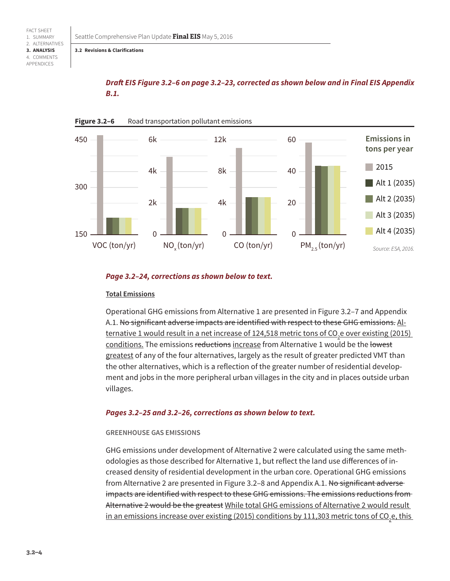# *Draft EIS Figure 3.2–6 on page 3.2–23, corrected as shown below and in Final EIS Appendix B.1.*



#### Figure 3.2-6 Road transportation pollutant emissions

#### *Page 3.2–24, corrections as shown below to text.*

#### **Total Emissions**

Operational GHG emissions from Alternative 1 are presented in Figure 3.2–7 and Appendix A.1. No significant adverse impacts are identified with respect to these GHG emissions. Al-<u>ternative 1 would result in a net increase of 124,518 metric tons of CO<sub>2</sub>e over existing (2015) </u> conditions. The emissions reductions increase from Alternative 1 would be the lowest greatest of any of the four alternatives, largely as the result of greater predicted VMT than the other alternatives, which is a reflection of the greater number of residential development and jobs in the more peripheral urban villages in the city and in places outside urban villages.

#### *Pages 3.2–25 and 3.2–26, corrections as shown below to text.*

#### **GREENHOUSE GAS EMISSIONS**

GHG emissions under development of Alternative 2 were calculated using the same methodologies as those described for Alternative 1, but reflect the land use differences of increased density of residential development in the urban core. Operational GHG emissions from Alternative 2 are presented in Figure 3.2–8 and Appendix A.1. No significant adverse impacts are identified with respect to these GHG emissions. The emissions reductions from Alternative 2 would be the greatest While total GHG emissions of Alternative 2 would result <u>in an emissions increase over existing (2015) conditions by 111,303 metric tons of CO<sub>2</sub>e, this  $\,$ </u>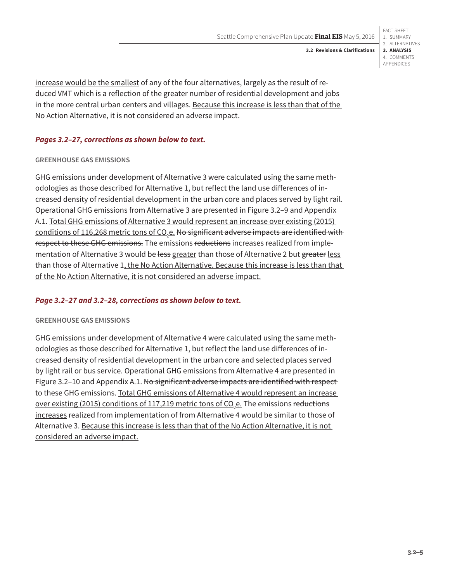increase would be the smallest of any of the four alternatives, largely as the result of re-

duced VMT which is a reflection of the greater number of residential development and jobs in the more central urban centers and villages. Because this increase is less than that of the No Action Alternative, it is not considered an adverse impact.

# *Pages 3.2–27, corrections as shown below to text.*

## **GREENHOUSE GAS EMISSIONS**

GHG emissions under development of Alternative 3 were calculated using the same methodologies as those described for Alternative 1, but reflect the land use differences of increased density of residential development in the urban core and places served by light rail. Operational GHG emissions from Alternative 3 are presented in Figure 3.2–9 and Appendix A.1. Total GHG emissions of Alternative 3 would represent an increase over existing (2015) <u>conditions of 116,268 metric tons of CO<sub>2</sub>e.</u> <del>No significant adverse impacts are identified with</del> respect to these GHG emissions. The emissions reductions increases realized from implementation of Alternative 3 would be less greater than those of Alternative 2 but greater less than those of Alternative 1, the No Action Alternative. Because this increase is less than that of the No Action Alternative, it is not considered an adverse impact.

# *Page 3.2–27 and 3.2–28, corrections as shown below to text.*

# **GREENHOUSE GAS EMISSIONS**

GHG emissions under development of Alternative 4 were calculated using the same methodologies as those described for Alternative 1, but reflect the land use differences of increased density of residential development in the urban core and selected places served by light rail or bus service. Operational GHG emissions from Alternative 4 are presented in Figure 3.2–10 and Appendix A.1. No significant adverse impacts are identified with respect to these GHG emissions. Total GHG emissions of Alternative 4 would represent an increase <u>over existing (2015) conditions of 117,219 metric tons of CO<sub>2</sub>e. The emissions <del>reductions</del></u> increases realized from implementation of from Alternative 4 would be similar to those of Alternative 3. Because this increase is less than that of the No Action Alternative, it is not considered an adverse impact.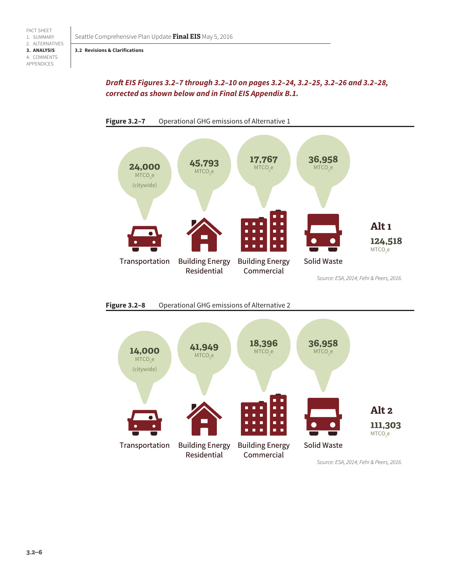## *Draft EIS Figures 3.2–7 through 3.2–10 on pages 3.2–24, 3.2–25, 3.2–26 and 3.2–28, corrected as shown below and in Final EIS Appendix B.1.*







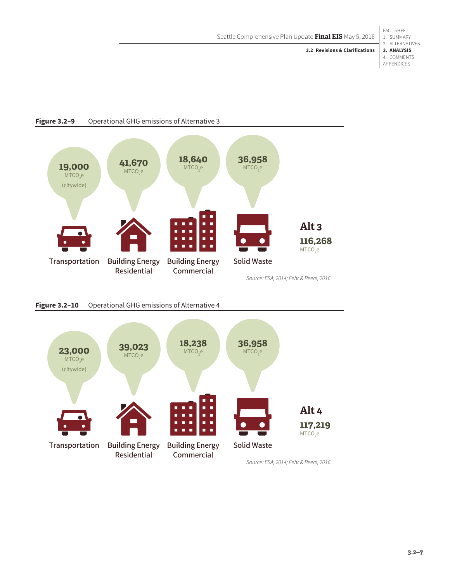FACT SHEET 1. SUMMARY 2. ALTERNATIVES **3. ANALYSIS** 4. COMMENTS APPENDICES

**3.2 Revisions & Clarifications**



### **Figure 3.2–9** Operational GHG emissions of Alternative 3





**3.2–7**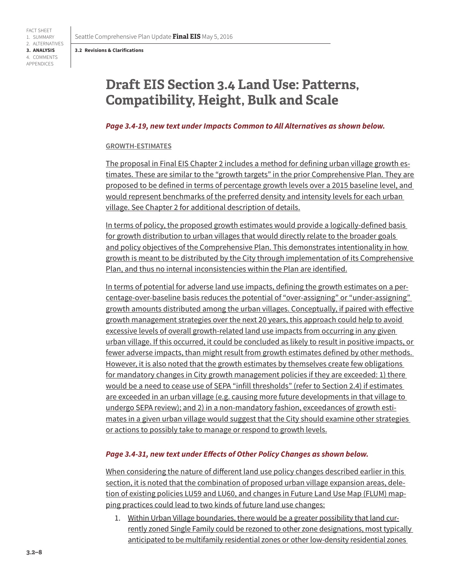# **Draft EIS Section 3.4 Land Use: Patterns, Compatibility, Height, Bulk and Scale**

#### *Page 3.4-19, new text under Impacts Common to All Alternatives as shown below.*

#### **GROWTH-ESTIMATES**

The proposal in Final EIS Chapter 2 includes a method for defining urban village growth estimates. These are similar to the "growth targets" in the prior Comprehensive Plan. They are proposed to be defined in terms of percentage growth levels over a 2015 baseline level, and would represent benchmarks of the preferred density and intensity levels for each urban village. See Chapter 2 for additional description of details.

In terms of policy, the proposed growth estimates would provide a logically-defined basis for growth distribution to urban villages that would directly relate to the broader goals and policy objectives of the Comprehensive Plan. This demonstrates intentionality in how growth is meant to be distributed by the City through implementation of its Comprehensive Plan, and thus no internal inconsistencies within the Plan are identified.

In terms of potential for adverse land use impacts, defining the growth estimates on a percentage-over-baseline basis reduces the potential of "over-assigning" or "under-assigning" growth amounts distributed among the urban villages. Conceptually, if paired with effective growth management strategies over the next 20 years, this approach could help to avoid excessive levels of overall growth-related land use impacts from occurring in any given urban village. If this occurred, it could be concluded as likely to result in positive impacts, or fewer adverse impacts, than might result from growth estimates defined by other methods. However, it is also noted that the growth estimates by themselves create few obligations for mandatory changes in City growth management policies if they are exceeded: 1) there would be a need to cease use of SEPA "infill thresholds" (refer to Section 2.4) if estimates are exceeded in an urban village (e.g. causing more future developments in that village to undergo SEPA review); and 2) in a non-mandatory fashion, exceedances of growth estimates in a given urban village would suggest that the City should examine other strategies or actions to possibly take to manage or respond to growth levels.

## *Page 3.4-31, new text under Effects of Other Policy Changes as shown below.*

When considering the nature of different land use policy changes described earlier in this section, it is noted that the combination of proposed urban village expansion areas, deletion of existing policies LU59 and LU60, and changes in Future Land Use Map (FLUM) mapping practices could lead to two kinds of future land use changes:

1. Within Urban Village boundaries, there would be a greater possibility that land currently zoned Single Family could be rezoned to other zone designations, most typically anticipated to be multifamily residential zones or other low-density residential zones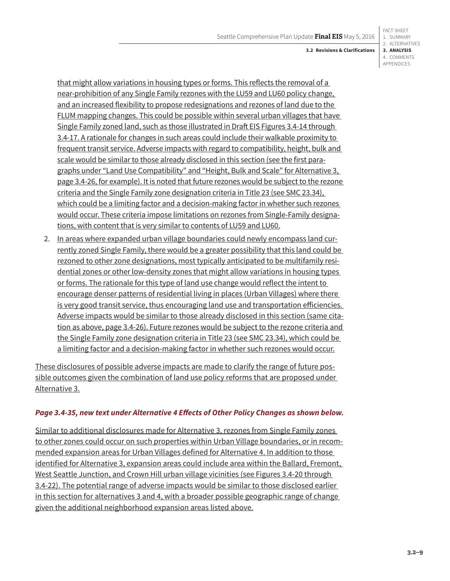#### FACT SHEET 1. SUMMARY 2. ALTERNATIVES **3. ANALYSIS** 4. COMMENTS APPENDICES

that might allow variations in housing types or forms. This reflects the removal of a near-prohibition of any Single Family rezones with the LU59 and LU60 policy change, and an increased flexibility to propose redesignations and rezones of land due to the FLUM mapping changes. This could be possible within several urban villages that have Single Family zoned land, such as those illustrated in Draft EIS Figures 3.4-14 through 3.4-17. A rationale for changes in such areas could include their walkable proximity to frequent transit service. Adverse impacts with regard to compatibility, height, bulk and scale would be similar to those already disclosed in this section (see the first paragraphs under "Land Use Compatibility" and "Height, Bulk and Scale" for Alternative 3, page 3.4-26, for example). It is noted that future rezones would be subject to the rezone criteria and the Single Family zone designation criteria in Title 23 (see SMC 23.34), which could be a limiting factor and a decision-making factor in whether such rezones would occur. These criteria impose limitations on rezones from Single-Family designations, with content that is very similar to contents of LU59 and LU60.

2. In areas where expanded urban village boundaries could newly encompass land currently zoned Single Family, there would be a greater possibility that this land could be rezoned to other zone designations, most typically anticipated to be multifamily residential zones or other low-density zones that might allow variations in housing types or forms. The rationale for this type of land use change would reflect the intent to encourage denser patterns of residential living in places (Urban Villages) where there is very good transit service, thus encouraging land use and transportation efficiencies. Adverse impacts would be similar to those already disclosed in this section (same citation as above, page 3.4-26). Future rezones would be subject to the rezone criteria and the Single Family zone designation criteria in Title 23 (see SMC 23.34), which could be a limiting factor and a decision-making factor in whether such rezones would occur.

These disclosures of possible adverse impacts are made to clarify the range of future possible outcomes given the combination of land use policy reforms that are proposed under Alternative 3.

# *Page 3.4-35, new text under Alternative 4 Effects of Other Policy Changes as shown below.*

Similar to additional disclosures made for Alternative 3, rezones from Single Family zones to other zones could occur on such properties within Urban Village boundaries, or in recommended expansion areas for Urban Villages defined for Alternative 4. In addition to those identified for Alternative 3, expansion areas could include area within the Ballard, Fremont, West Seattle Junction, and Crown Hill urban village vicinities (see Figures 3.4-20 through 3.4-22). The potential range of adverse impacts would be similar to those disclosed earlier in this section for alternatives 3 and 4, with a broader possible geographic range of change given the additional neighborhood expansion areas listed above.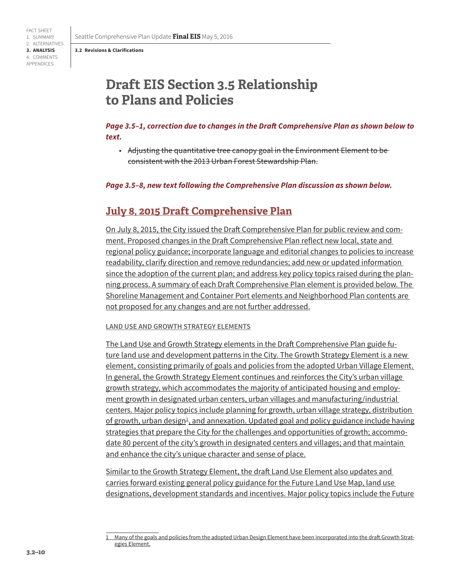# **Draft EIS Section 3.5 Relationship to Plans and Policies**

# *Page 3.5–1, correction due to changes in the Draft Comprehensive Plan as shown below to text.*

• Adjusting the quantitative tree canopy goal in the Environment Element to be consistent with the 2013 Urban Forest Stewardship Plan.

#### *Page 3.5–8, new text following the Comprehensive Plan discussion as shown below.*

# **July 8, 2015 Draft Comprehensive Plan**

On July 8, 2015, the City issued the Draft Comprehensive Plan for public review and comment. Proposed changes in the Draft Comprehensive Plan reflect new local, state and regional policy guidance; incorporate language and editorial changes to policies to increase readability, clarify direction and remove redundancies; add new or updated information since the adoption of the current plan; and address key policy topics raised during the planning process. A summary of each Draft Comprehensive Plan element is provided below. The Shoreline Management and Container Port elements and Neighborhood Plan contents are not proposed for any changes and are not further addressed.

#### **LAND USE AND GROWTH STRATEGY ELEMENTS**

The Land Use and Growth Strategy elements in the Draft Comprehensive Plan guide future land use and development patterns in the City. The Growth Strategy Element is a new element, consisting primarily of goals and policies from the adopted Urban Village Element. In general, the Growth Strategy Element continues and reinforces the City's urban village growth strategy, which accommodates the majority of anticipated housing and employment growth in designated urban centers, urban villages and manufacturing/industrial centers. Major policy topics include planning for growth, urban village strategy, distribution <u>of growth, urban design<sup>1</sup>, and annexation. Updated goal and policy guidance include having</u> strategies that prepare the City for the challenges and opportunities of growth; accommodate 80 percent of the city's growth in designated centers and villages; and that maintain and enhance the city's unique character and sense of place.

Similar to the Growth Strategy Element, the draft Land Use Element also updates and carries forward existing general policy guidance for the Future Land Use Map, land use designations, development standards and incentives. Major policy topics include the Future

<sup>1</sup> Many of the goals and policies from the adopted Urban Design Element have been incorporated into the draft Growth Strategies Element.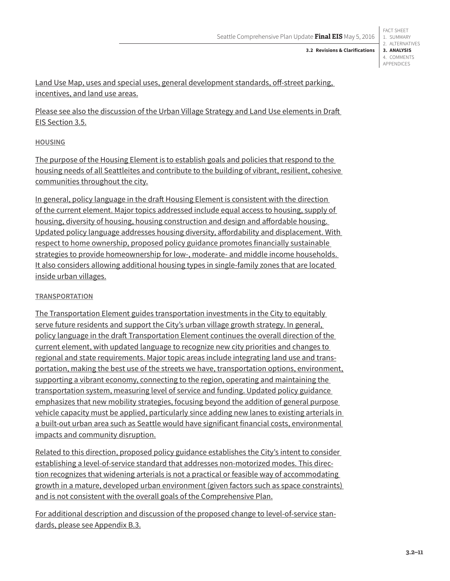FACT SHEET 1. SUMMARY 2. ALTERNATIVES **3. ANALYSIS** 4. COMMENTS APPENDICES

**3.2 Revisions & Clarifications**

Land Use Map, uses and special uses, general development standards, off-street parking, incentives, and land use areas.

Please see also the discussion of the Urban Village Strategy and Land Use elements in Draft EIS Section 3.5.

## **HOUSING**

The purpose of the Housing Element is to establish goals and policies that respond to the housing needs of all Seattleites and contribute to the building of vibrant, resilient, cohesive communities throughout the city.

In general, policy language in the draft Housing Element is consistent with the direction of the current element. Major topics addressed include equal access to housing, supply of housing, diversity of housing, housing construction and design and affordable housing. Updated policy language addresses housing diversity, affordability and displacement. With respect to home ownership, proposed policy guidance promotes financially sustainable strategies to provide homeownership for low-, moderate- and middle income households. It also considers allowing additional housing types in single-family zones that are located inside urban villages.

# **TRANSPORTATION**

The Transportation Element guides transportation investments in the City to equitably serve future residents and support the City's urban village growth strategy. In general, policy language in the draft Transportation Element continues the overall direction of the current element, with updated language to recognize new city priorities and changes to regional and state requirements. Major topic areas include integrating land use and transportation, making the best use of the streets we have, transportation options, environment, supporting a vibrant economy, connecting to the region, operating and maintaining the transportation system, measuring level of service and funding. Updated policy guidance emphasizes that new mobility strategies, focusing beyond the addition of general purpose vehicle capacity must be applied, particularly since adding new lanes to existing arterials in a built-out urban area such as Seattle would have significant financial costs, environmental impacts and community disruption.

Related to this direction, proposed policy guidance establishes the City's intent to consider establishing a level-of-service standard that addresses non-motorized modes. This direction recognizes that widening arterials is not a practical or feasible way of accommodating growth in a mature, developed urban environment (given factors such as space constraints) and is not consistent with the overall goals of the Comprehensive Plan.

For additional description and discussion of the proposed change to level-of-service standards, please see Appendix B.3.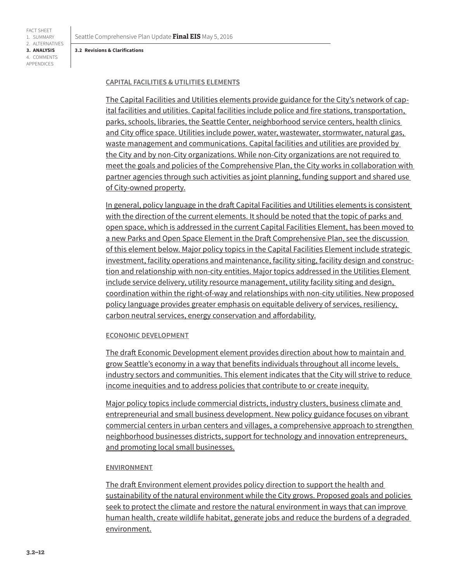Seattle Comprehensive Plan Update **Final EIS** May 5, 2016

#### **3.2 Revisions & Clarifications**

### **CAPITAL FACILITIES & UTILITIES ELEMENTS**

The Capital Facilities and Utilities elements provide guidance for the City's network of capital facilities and utilities. Capital facilities include police and fire stations, transportation, parks, schools, libraries, the Seattle Center, neighborhood service centers, health clinics and City office space. Utilities include power, water, wastewater, stormwater, natural gas, waste management and communications. Capital facilities and utilities are provided by the City and by non-City organizations. While non-City organizations are not required to meet the goals and policies of the Comprehensive Plan, the City works in collaboration with partner agencies through such activities as joint planning, funding support and shared use of City-owned property.

In general, policy language in the draft Capital Facilities and Utilities elements is consistent with the direction of the current elements. It should be noted that the topic of parks and open space, which is addressed in the current Capital Facilities Element, has been moved to a new Parks and Open Space Element in the Draft Comprehensive Plan, see the discussion of this element below. Major policy topics in the Capital Facilities Element include strategic investment, facility operations and maintenance, facility siting, facility design and construction and relationship with non-city entities. Major topics addressed in the Utilities Element include service delivery, utility resource management, utility facility siting and design, coordination within the right-of-way and relationships with non-city utilities. New proposed policy language provides greater emphasis on equitable delivery of services, resiliency, carbon neutral services, energy conservation and affordability.

#### **ECONOMIC DEVELOPMENT**

The draft Economic Development element provides direction about how to maintain and grow Seattle's economy in a way that benefits individuals throughout all income levels, industry sectors and communities. This element indicates that the City will strive to reduce income inequities and to address policies that contribute to or create inequity.

Major policy topics include commercial districts, industry clusters, business climate and entrepreneurial and small business development. New policy guidance focuses on vibrant commercial centers in urban centers and villages, a comprehensive approach to strengthen neighborhood businesses districts, support for technology and innovation entrepreneurs, and promoting local small businesses.

#### **ENVIRONMENT**

The draft Environment element provides policy direction to support the health and sustainability of the natural environment while the City grows. Proposed goals and policies seek to protect the climate and restore the natural environment in ways that can improve human health, create wildlife habitat, generate jobs and reduce the burdens of a degraded environment.

FACT SHEET 1. SUMMARY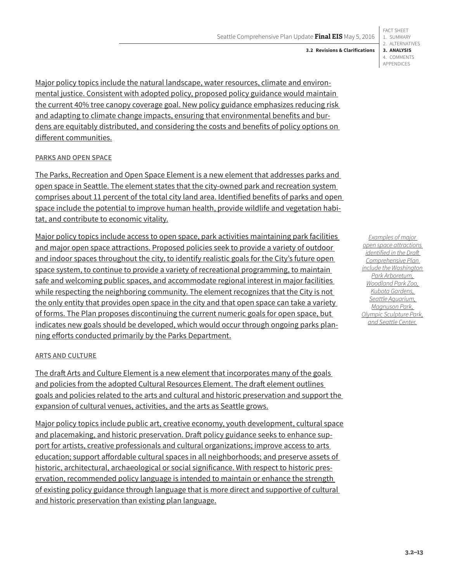#### 1. SUMMARY 2. ALTERNATIVES **3. ANALYSIS** 4. COMMENTS APPENDICES **3.2 Revisions & Clarifications**

FACT SHEET

Major policy topics include the natural landscape, water resources, climate and environmental justice. Consistent with adopted policy, proposed policy guidance would maintain the current 40% tree canopy coverage goal. New policy guidance emphasizes reducing risk and adapting to climate change impacts, ensuring that environmental benefits and burdens are equitably distributed, and considering the costs and benefits of policy options on different communities.

# **PARKS AND OPEN SPACE**

The Parks, Recreation and Open Space Element is a new element that addresses parks and open space in Seattle. The element states that the city-owned park and recreation system comprises about 11 percent of the total city land area. Identified benefits of parks and open space include the potential to improve human health, provide wildlife and vegetation habitat, and contribute to economic vitality.

Major policy topics include access to open space, park activities maintaining park facilities and major open space attractions. Proposed policies seek to provide a variety of outdoor and indoor spaces throughout the city, to identify realistic goals for the City's future open space system, to continue to provide a variety of recreational programming, to maintain safe and welcoming public spaces, and accommodate regional interest in major facilities while respecting the neighboring community. The element recognizes that the City is not the only entity that provides open space in the city and that open space can take a variety of forms. The Plan proposes discontinuing the current numeric goals for open space, but indicates new goals should be developed, which would occur through ongoing parks planning efforts conducted primarily by the Parks Department.

# **ARTS AND CULTURE**

The draft Arts and Culture Element is a new element that incorporates many of the goals and policies from the adopted Cultural Resources Element. The draft element outlines goals and policies related to the arts and cultural and historic preservation and support the expansion of cultural venues, activities, and the arts as Seattle grows.

Major policy topics include public art, creative economy, youth development, cultural space and placemaking, and historic preservation. Draft policy guidance seeks to enhance support for artists, creative professionals and cultural organizations; improve access to arts education; support affordable cultural spaces in all neighborhoods; and preserve assets of historic, architectural, archaeological or social significance. With respect to historic preservation, recommended policy language is intended to maintain or enhance the strength of existing policy guidance through language that is more direct and supportive of cultural and historic preservation than existing plan language.

*Examples of major open space attractions identified in the Draft Comprehensive Plan include the Washington Park Arboretum, Woodland Park Zoo, Kubota Gardens, Seattle Aquarium, Magnuson Park, Olympic Sculpture Park, and Seattle Center.*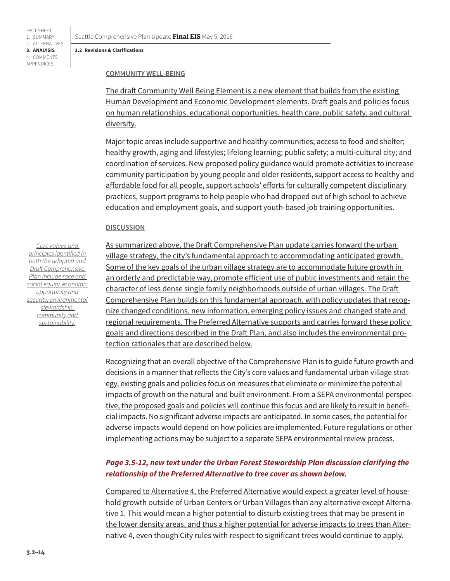FACT SHEET 1. SUMMARY 2. ALTERNATIVES **3. ANALYSIS** 4. COMMENTS APPENDICES

Seattle Comprehensive Plan Update **Final EIS** May 5, 2016

#### **3.2 Revisions & Clarifications**

#### **COMMUNITY WELL-BEING**

The draft Community Well Being Element is a new element that builds from the existing Human Development and Economic Development elements. Draft goals and policies focus on human relationships, educational opportunities, health care, public safety, and cultural diversity.

Major topic areas include supportive and healthy communities; access to food and shelter; healthy growth, aging and lifestyles; lifelong learning; public safety; a multi-cultural city; and coordination of services. New proposed policy guidance would promote activities to increase community participation by young people and older residents, support access to healthy and affordable food for all people, support schools' efforts for culturally competent disciplinary practices, support programs to help people who had dropped out of high school to achieve education and employment goals, and support youth-based job training opportunities.

### **DISCUSSION**

*Core values and principles identified in both the adopted and Draft Comprehensive Plan include race and social equity, economic opportunity and security, environmental stewardship, community and sustainability.*

As summarized above, the Draft Comprehensive Plan update carries forward the urban village strategy, the city's fundamental approach to accommodating anticipated growth. Some of the key goals of the urban village strategy are to accommodate future growth in an orderly and predictable way, promote efficient use of public investments and retain the character of less dense single family neighborhoods outside of urban villages. The Draft Comprehensive Plan builds on this fundamental approach, with policy updates that recognize changed conditions, new information, emerging policy issues and changed state and regional requirements. The Preferred Alternative supports and carries forward these policy goals and directions described in the Draft Plan, and also includes the environmental protection rationales that are described below.

Recognizing that an overall objective of the Comprehensive Plan is to guide future growth and decisions in a manner that reflects the City's core values and fundamental urban village strategy, existing goals and policies focus on measures that eliminate or minimize the potential impacts of growth on the natural and built environment. From a SEPA environmental perspective, the proposed goals and policies will continue this focus and are likely to result in beneficial impacts. No significant adverse impacts are anticipated. In some cases, the potential for adverse impacts would depend on how policies are implemented. Future regulations or other implementing actions may be subject to a separate SEPA environmental review process.

# *Page 3.5-12, new text under the Urban Forest Stewardship Plan discussion clarifying the relationship of the Preferred Alternative to tree cover as shown below.*

Compared to Alternative 4, the Preferred Alternative would expect a greater level of household growth outside of Urban Centers or Urban Villages than any alternative except Alternative 1. This would mean a higher potential to disturb existing trees that may be present in the lower density areas, and thus a higher potential for adverse impacts to trees than Alternative 4, even though City rules with respect to significant trees would continue to apply.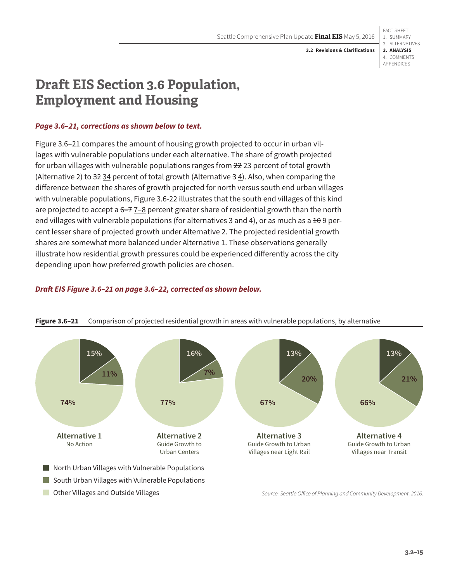FACT SHEET 1. SUMMARY 2. ALTERNATIVES **3. ANALYSIS** 4. COMMENTS APPENDICES

# **Draft EIS Section 3.6 Population, Employment and Housing**

## *Page 3.6–21, corrections as shown below to text.*

Figure 3.6–21 compares the amount of housing growth projected to occur in urban villages with vulnerable populations under each alternative. The share of growth projected for urban villages with vulnerable populations ranges from 22 23 percent of total growth (Alternative 2) to  $32 \underline{34}$  percent of total growth (Alternative  $3 \underline{4}$ ). Also, when comparing the difference between the shares of growth projected for north versus south end urban villages with vulnerable populations, Figure 3.6-22 illustrates that the south end villages of this kind are projected to accept a  $6-7$   $7-8$  percent greater share of residential growth than the north end villages with vulnerable populations (for alternatives 3 and 4), or as much as a  $\pm\theta$  9 percent lesser share of projected growth under Alternative 2. The projected residential growth shares are somewhat more balanced under Alternative 1. These observations generally illustrate how residential growth pressures could be experienced differently across the city depending upon how preferred growth policies are chosen.

# *Draft EIS Figure 3.6–21 on page 3.6–22, corrected as shown below.*



## **Figure 3.6–21** Comparison of projected residential growth in areas with vulnerable populations, by alternative

*Source: Seattle Office of Planning and Community Development, 2016.*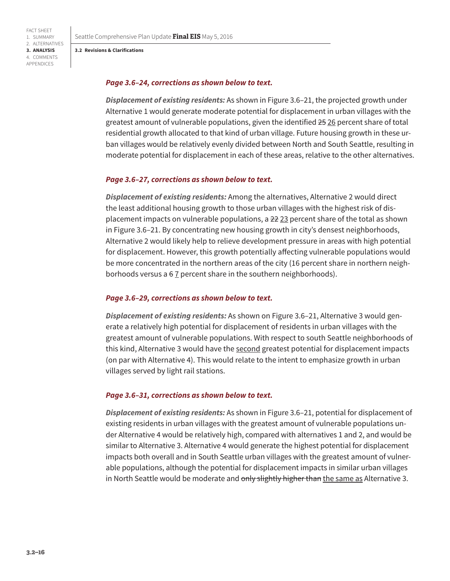Seattle Comprehensive Plan Update **Final EIS** May 5, 2016

#### **3.2 Revisions & Clarifications**

FACT SHEET 1. SUMMARY 2. ALTERNATIVES **3. ANALYSIS** 4. COMMENTS APPENDICES

### *Page 3.6–24, corrections as shown below to text.*

*Displacement of existing residents:* As shown in Figure 3.6–21, the projected growth under Alternative 1 would generate moderate potential for displacement in urban villages with the greatest amount of vulnerable populations, given the identified 25 26 percent share of total residential growth allocated to that kind of urban village. Future housing growth in these urban villages would be relatively evenly divided between North and South Seattle, resulting in moderate potential for displacement in each of these areas, relative to the other alternatives.

#### *Page 3.6–27, corrections as shown below to text.*

*Displacement of existing residents:* Among the alternatives, Alternative 2 would direct the least additional housing growth to those urban villages with the highest risk of displacement impacts on vulnerable populations, a 22 23 percent share of the total as shown in Figure 3.6–21. By concentrating new housing growth in city's densest neighborhoods, Alternative 2 would likely help to relieve development pressure in areas with high potential for displacement. However, this growth potentially affecting vulnerable populations would be more concentrated in the northern areas of the city (16 percent share in northern neighborhoods versus a  $67$  percent share in the southern neighborhoods).

#### *Page 3.6–29, corrections as shown below to text.*

*Displacement of existing residents:* As shown on Figure 3.6–21, Alternative 3 would generate a relatively high potential for displacement of residents in urban villages with the greatest amount of vulnerable populations. With respect to south Seattle neighborhoods of this kind, Alternative 3 would have the second greatest potential for displacement impacts (on par with Alternative 4). This would relate to the intent to emphasize growth in urban villages served by light rail stations.

#### *Page 3.6–31, corrections as shown below to text.*

*Displacement of existing residents:* As shown in Figure 3.6–21, potential for displacement of existing residents in urban villages with the greatest amount of vulnerable populations under Alternative 4 would be relatively high, compared with alternatives 1 and 2, and would be similar to Alternative 3. Alternative 4 would generate the highest potential for displacement impacts both overall and in South Seattle urban villages with the greatest amount of vulnerable populations, although the potential for displacement impacts in similar urban villages in North Seattle would be moderate and only slightly higher than the same as Alternative 3.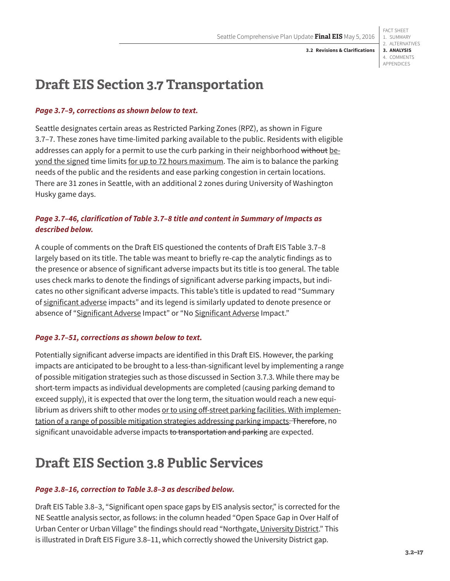FACT SHEET 1. SUMMARY 2. ALTERNATIVES **3. ANALYSIS** 4. COMMENTS APPENDICES

# **Draft EIS Section 3.7 Transportation**

# *Page 3.7–9, corrections as shown below to text.*

Seattle designates certain areas as Restricted Parking Zones (RPZ), as shown in Figure 3.7–7. These zones have time-limited parking available to the public. Residents with eligible addresses can apply for a permit to use the curb parking in their neighborhood without beyond the signed time limits for up to 72 hours maximum. The aim is to balance the parking needs of the public and the residents and ease parking congestion in certain locations. There are 31 zones in Seattle, with an additional 2 zones during University of Washington Husky game days.

# *Page 3.7–46, clarification of Table 3.7–8 title and content in Summary of Impacts as described below.*

A couple of comments on the Draft EIS questioned the contents of Draft EIS Table 3.7–8 largely based on its title. The table was meant to briefly re-cap the analytic findings as to the presence or absence of significant adverse impacts but its title is too general. The table uses check marks to denote the findings of significant adverse parking impacts, but indicates no other significant adverse impacts. This table's title is updated to read "Summary of significant adverse impacts" and its legend is similarly updated to denote presence or absence of "Significant Adverse Impact" or "No Significant Adverse Impact."

# *Page 3.7–51, corrections as shown below to text.*

Potentially significant adverse impacts are identified in this Draft EIS. However, the parking impacts are anticipated to be brought to a less-than-significant level by implementing a range of possible mitigation strategies such as those discussed in Section 3.7.3. While there may be short-term impacts as individual developments are completed (causing parking demand to exceed supply), it is expected that over the long term, the situation would reach a new equilibrium as drivers shift to other modes or to using off-street parking facilities. With implementation of a range of possible mitigation strategies addressing parking impacts. Therefore, no significant unavoidable adverse impacts to transportation and parking are expected.

# **Draft EIS Section 3.8 Public Services**

# *Page 3.8–16, correction to Table 3.8–3 as described below.*

Draft EIS Table 3.8–3, "Significant open space gaps by EIS analysis sector," is corrected for the NE Seattle analysis sector, as follows: in the column headed "Open Space Gap in Over Half of Urban Center or Urban Village" the findings should read "Northgate, University District." This is illustrated in Draft EIS Figure 3.8–11, which correctly showed the University District gap.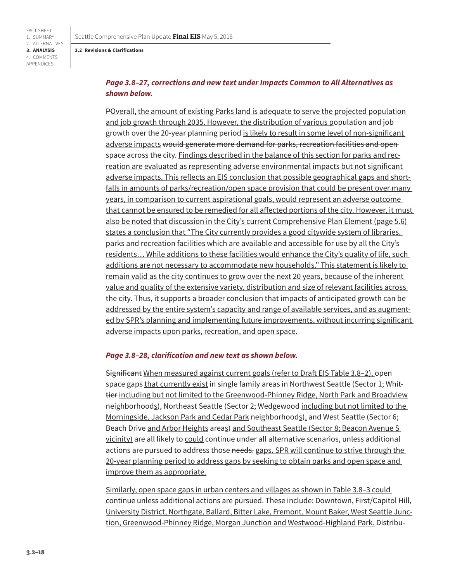# *Page 3.8–27, corrections and new text under Impacts Common to All Alternatives as shown below.*

POverall, the amount of existing Parks land is adequate to serve the projected population and job growth through 2035. However, the distribution of various population and job growth over the 20-year planning period is likely to result in some level of non-significant adverse impacts would generate more demand for parks, recreation facilities and open space across the city. Findings described in the balance of this section for parks and recreation are evaluated as representing adverse environmental impacts but not significant adverse impacts. This reflects an EIS conclusion that possible geographical gaps and shortfalls in amounts of parks/recreation/open space provision that could be present over many years, in comparison to current aspirational goals, would represent an adverse outcome that cannot be ensured to be remedied for all affected portions of the city. However, it must also be noted that discussion in the City's current Comprehensive Plan Element (page 5.6) states a conclusion that "The City currently provides a good citywide system of libraries, parks and recreation facilities which are available and accessible for use by all the City's residents… While additions to these facilities would enhance the City's quality of life, such additions are not necessary to accommodate new households." This statement is likely to remain valid as the city continues to grow over the next 20 years, because of the inherent value and quality of the extensive variety, distribution and size of relevant facilities across the city. Thus, it supports a broader conclusion that impacts of anticipated growth can be addressed by the entire system's capacity and range of available services, and as augmented by SPR's planning and implementing future improvements, without incurring significant adverse impacts upon parks, recreation, and open space.

#### *Page 3.8–28, clarification and new text as shown below.*

Significant When measured against current goals (refer to Draft EIS Table 3.8–2), open space gaps that currently exist in single family areas in Northwest Seattle (Sector 1; Whittier including but not limited to the Greenwood-Phinney Ridge, North Park and Broadview neighborhoods), Northeast Seattle (Sector 2; Wedgewood including but not limited to the Morningside, Jackson Park and Cedar Park neighborhoods), and West Seattle (Sector 6; Beach Drive and Arbor Heights areas) and Southeast Seattle (Sector 8; Beacon Avenue S vicinity) are all likely to could continue under all alternative scenarios, unless additional actions are pursued to address those needs. gaps. SPR will continue to strive through the 20-year planning period to address gaps by seeking to obtain parks and open space and improve them as appropriate.

Similarly, open space gaps in urban centers and villages as shown in Table 3.8–3 could continue unless additional actions are pursued. These include: Downtown, First/Capitol Hill, University District, Northgate, Ballard, Bitter Lake, Fremont, Mount Baker, West Seattle Junction, Greenwood-Phinney Ridge, Morgan Junction and Westwood-Highland Park. Distribu-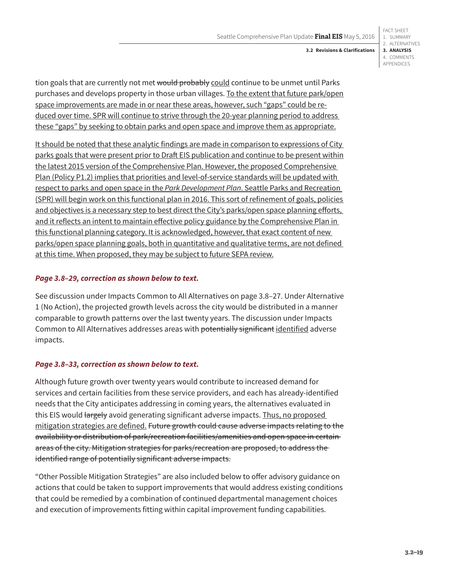FACT SHEET 1. SUMMARY 2. ALTERNATIVES **3. ANALYSIS** 4. COMMENTS APPENDICES

tion goals that are currently not met would probably could continue to be unmet until Parks purchases and develops property in those urban villages. To the extent that future park/open space improvements are made in or near these areas, however, such "gaps" could be reduced over time. SPR will continue to strive through the 20-year planning period to address these "gaps" by seeking to obtain parks and open space and improve them as appropriate.

It should be noted that these analytic findings are made in comparison to expressions of City parks goals that were present prior to Draft EIS publication and continue to be present within the latest 2015 version of the Comprehensive Plan. However, the proposed Comprehensive Plan (Policy P1.2) implies that priorities and level-of-service standards will be updated with respect to parks and open space in the *Park Development Plan*. Seattle Parks and Recreation (SPR) will begin work on this functional plan in 2016. This sort of refinement of goals, policies and objectives is a necessary step to best direct the City's parks/open space planning efforts, and it reflects an intent to maintain effective policy guidance by the Comprehensive Plan in this functional planning category. It is acknowledged, however, that exact content of new parks/open space planning goals, both in quantitative and qualitative terms, are not defined at this time. When proposed, they may be subject to future SEPA review.

# *Page 3.8–29, correction as shown below to text.*

See discussion under Impacts Common to All Alternatives on page 3.8–27. Under Alternative 1 (No Action), the projected growth levels across the city would be distributed in a manner comparable to growth patterns over the last twenty years. The discussion under Impacts Common to All Alternatives addresses areas with potentially significant identified adverse impacts.

# *Page 3.8–33, correction as shown below to text.*

Although future growth over twenty years would contribute to increased demand for services and certain facilities from these service providers, and each has already-identified needs that the City anticipates addressing in coming years, the alternatives evaluated in this EIS would largely avoid generating significant adverse impacts. Thus, no proposed mitigation strategies are defined. Future growth could cause adverse impacts relating to the availability or distribution of park/recreation facilities/amenities and open space in certain areas of the city. Mitigation strategies for parks/recreation are proposed, to address the identified range of potentially significant adverse impacts.

"Other Possible Mitigation Strategies" are also included below to offer advisory guidance on actions that could be taken to support improvements that would address existing conditions that could be remedied by a combination of continued departmental management choices and execution of improvements fitting within capital improvement funding capabilities.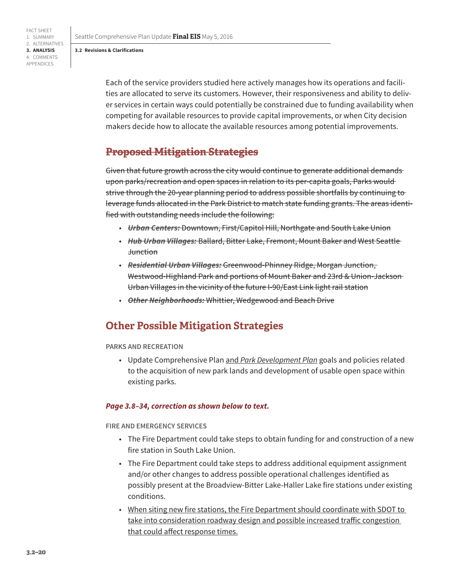Seattle Comprehensive Plan Update **Final EIS** May 5, 2016

#### **3.2 Revisions & Clarifications**

Each of the service providers studied here actively manages how its operations and facilities are allocated to serve its customers. However, their responsiveness and ability to deliver services in certain ways could potentially be constrained due to funding availability when competing for available resources to provide capital improvements, or when City decision makers decide how to allocate the available resources among potential improvements.

# **Proposed Mitigation Strategies**

Given that future growth across the city would continue to generate additional demands upon parks/recreation and open spaces in relation to its per-capita goals, Parks would strive through the 20-year planning period to address possible shortfalls by continuing to leverage funds allocated in the Park District to match state funding grants. The areas identified with outstanding needs include the following:

- *Urban Centers:* Downtown, First/Capitol Hill, Northgate and South Lake Union
- *Hub Urban Villages:* Ballard, Bitter Lake, Fremont, Mount Baker and West Seattle **Junction**
- *Residential Urban Villages:* Greenwood-Phinney Ridge, Morgan Junction, Westwood-Highland Park and portions of Mount Baker and 23rd & Union-Jackson Urban Villages in the vicinity of the future I-90/East Link light rail station
- *Other Neighborhoods:* Whittier, Wedgewood and Beach Drive

# **Other Possible Mitigation Strategies**

**PARKS AND RECREATION**

• Update Comprehensive Plan and *Park Development Plan* goals and policies related to the acquisition of new park lands and development of usable open space within existing parks.

#### *Page 3.8–34, correction as shown below to text.*

**FIRE AND EMERGENCY SERVICES**

- The Fire Department could take steps to obtain funding for and construction of a new fire station in South Lake Union.
- The Fire Department could take steps to address additional equipment assignment and/or other changes to address possible operational challenges identified as possibly present at the Broadview-Bitter Lake-Haller Lake fire stations under existing conditions.
- When siting new fire stations, the Fire Department should coordinate with SDOT to take into consideration roadway design and possible increased traffic congestion that could affect response times.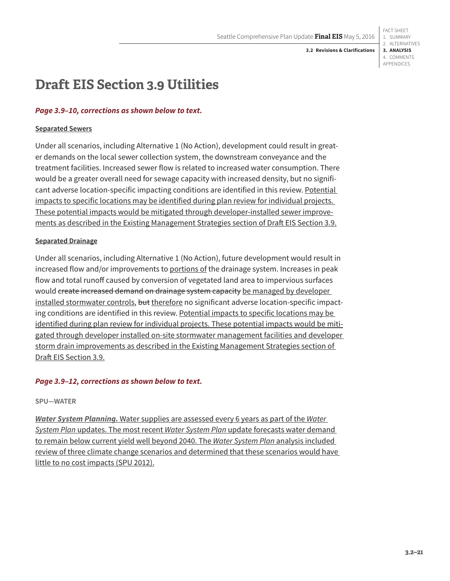# **Draft EIS Section 3.9 Utilities**

# *Page 3.9–10, corrections as shown below to text.*

## **Separated Sewers**

Under all scenarios, including Alternative 1 (No Action), development could result in greater demands on the local sewer collection system, the downstream conveyance and the treatment facilities. Increased sewer flow is related to increased water consumption. There would be a greater overall need for sewage capacity with increased density, but no significant adverse location-specific impacting conditions are identified in this review. Potential impacts to specific locations may be identified during plan review for individual projects. These potential impacts would be mitigated through developer-installed sewer improvements as described in the Existing Management Strategies section of Draft EIS Section 3.9.

## **Separated Drainage**

Under all scenarios, including Alternative 1 (No Action), future development would result in increased flow and/or improvements to portions of the drainage system. Increases in peak flow and total runoff caused by conversion of vegetated land area to impervious surfaces would create increased demand on drainage system capacity be managed by developer installed stormwater controls, but therefore no significant adverse location-specific impacting conditions are identified in this review. Potential impacts to specific locations may be identified during plan review for individual projects. These potential impacts would be mitigated through developer installed on-site stormwater management facilities and developer storm drain improvements as described in the Existing Management Strategies section of Draft EIS Section 3.9.

# *Page 3.9–12, corrections as shown below to text.*

## **SPU—WATER**

*Water System Planning.* Water supplies are assessed every 6 years as part of the *Water System Plan* updates. The most recent *Water System Plan* update forecasts water demand to remain below current yield well beyond 2040. The *Water System Plan* analysis included review of three climate change scenarios and determined that these scenarios would have little to no cost impacts (SPU 2012).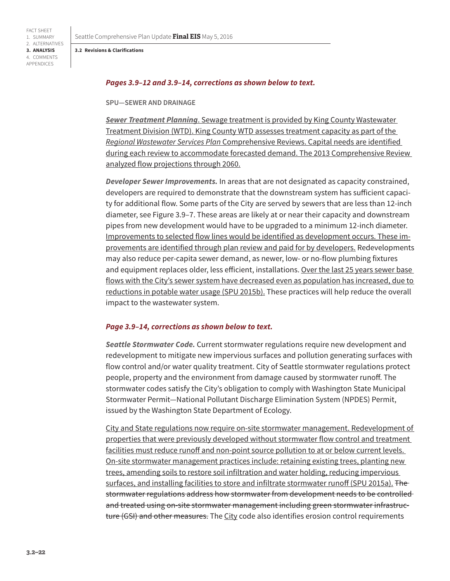FACT SHEET 1. SUMMARY

**3. ANALYSIS** 4. COMMENTS APPENDICES

### *Pages 3.9–12 and 3.9–14, corrections as shown below to text.*

#### **SPU—SEWER AND DRAINAGE**

*Sewer Treatment Planning*. Sewage treatment is provided by King County Wastewater Treatment Division (WTD). King County WTD assesses treatment capacity as part of the *Regional Wastewater Services Plan* Comprehensive Reviews. Capital needs are identified during each review to accommodate forecasted demand. The 2013 Comprehensive Review analyzed flow projections through 2060.

*Developer Sewer Improvements.* In areas that are not designated as capacity constrained, developers are required to demonstrate that the downstream system has sufficient capacity for additional flow. Some parts of the City are served by sewers that are less than 12-inch diameter, see Figure 3.9–7. These areas are likely at or near their capacity and downstream pipes from new development would have to be upgraded to a minimum 12-inch diameter. Improvements to selected flow lines would be identified as development occurs. These improvements are identified through plan review and paid for by developers. Redevelopments may also reduce per-capita sewer demand, as newer, low- or no-flow plumbing fixtures and equipment replaces older, less efficient, installations. Over the last 25 years sewer base flows with the City's sewer system have decreased even as population has increased, due to reductions in potable water usage (SPU 2015b). These practices will help reduce the overall impact to the wastewater system.

## *Page 3.9–14, corrections as shown below to text.*

*Seattle Stormwater Code.* Current stormwater regulations require new development and redevelopment to mitigate new impervious surfaces and pollution generating surfaces with flow control and/or water quality treatment. City of Seattle stormwater regulations protect people, property and the environment from damage caused by stormwater runoff. The stormwater codes satisfy the City's obligation to comply with Washington State Municipal Stormwater Permit—National Pollutant Discharge Elimination System (NPDES) Permit, issued by the Washington State Department of Ecology.

City and State regulations now require on-site stormwater management. Redevelopment of properties that were previously developed without stormwater flow control and treatment facilities must reduce runoff and non-point source pollution to at or below current levels. On-site stormwater management practices include: retaining existing trees, planting new trees, amending soils to restore soil infiltration and water holding, reducing impervious surfaces, and installing facilities to store and infiltrate stormwater runoff (SPU 2015a). The stormwater regulations address how stormwater from development needs to be controlled and treated using on-site stormwater management including green stormwater infrastructure (GSI) and other measures. The City code also identifies erosion control requirements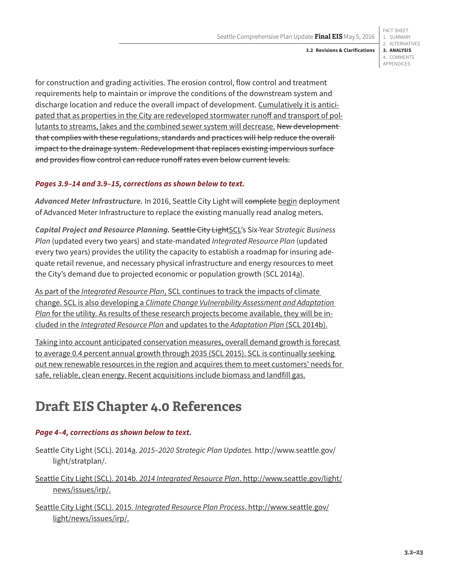for construction and grading activities. The erosion control, flow control and treatment requirements help to maintain or improve the conditions of the downstream system and discharge location and reduce the overall impact of development. Cumulatively it is anticipated that as properties in the City are redeveloped stormwater runoff and transport of pollutants to streams, lakes and the combined sewer system will decrease. New developmentthat complies with these regulations, standards and practices will help reduce the overall impact to the drainage system. Redevelopment that replaces existing impervious surface and provides flow control can reduce runoff rates even below current levels.

# *Pages 3.9–14 and 3.9–15, corrections as shown below to text.*

*Advanced Meter Infrastructure.* In 2016, Seattle City Light will complete begin deployment of Advanced Meter Infrastructure to replace the existing manually read analog meters.

*Capital Project and Resource Planning.* Seattle City LightSCL's Six-Year *Strategic Business Plan* (updated every two years) and state-mandated *Integrated Resource Plan* (updated every two years) provides the utility the capacity to establish a roadmap for insuring adequate retail revenue, and necessary physical infrastructure and energy resources to meet the City's demand due to projected economic or population growth (SCL 2014a).

As part of the *Integrated Resource Plan*, SCL continues to track the impacts of climate change. SCL is also developing a *Climate Change Vulnerability Assessment and Adaptation Plan* for the utility. As results of these research projects become available, they will be included in the *Integrated Resource Plan* and updates to the *Adaptation Plan* (SCL 2014b).

Taking into account anticipated conservation measures, overall demand growth is forecast to average 0.4 percent annual growth through 2035 (SCL 2015). SCL is continually seeking out new renewable resources in the region and acquires them to meet customers' needs for safe, reliable, clean energy. Recent acquisitions include biomass and landfill gas.

# **Draft EIS Chapter 4.0 References**

# *Page 4–4, corrections as shown below to text.*

- Seattle City Light (SCL). 2014a. *2015–2020 Strategic Plan Updates.* [http://www.seattle.gov/](http://www.seattle.gov/light/stratplan/) [light/stratplan/](http://www.seattle.gov/light/stratplan/).
- Seattle City Light (SCL). 2014b. *2014 Integrated Resource Plan*. [http://www.seattle.gov/light/](http://www.seattle.gov/light/news/issues/irp/) [news/issues/irp/](http://www.seattle.gov/light/news/issues/irp/).
- Seattle City Light (SCL). 2015. *Integrated Resource Plan Process*. [http://www.seattle.gov/](http://www.seattle.gov/light/news/issues/irp/) [light/news/issues/irp/.](http://www.seattle.gov/light/news/issues/irp/)